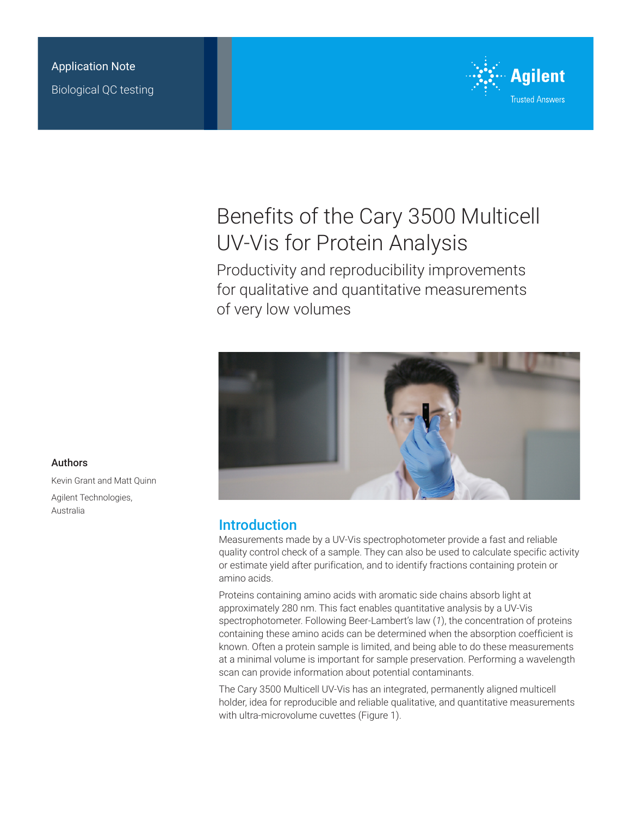

# Benefits of the Cary 3500 Multicell UV-Vis for Protein Analysis

Productivity and reproducibility improvements for qualitative and quantitative measurements of very low volumes



# Introduction

Measurements made by a UV-Vis spectrophotometer provide a fast and reliable quality control check of a sample. They can also be used to calculate specific activity or estimate yield after purification, and to identify fractions containing protein or amino acids.

Proteins containing amino acids with aromatic side chains absorb light at approximately 280 nm. This fact enables quantitative analysis by a UV-Vis spectrophotometer. Following Beer-Lambert's law (*1*), the concentration of proteins containing these amino acids can be determined when the absorption coefficient is known. Often a protein sample is limited, and being able to do these measurements at a minimal volume is important for sample preservation. Performing a wavelength scan can provide information about potential contaminants.

The Cary 3500 Multicell UV-Vis has an integrated, permanently aligned multicell holder, idea for reproducible and reliable qualitative, and quantitative measurements with ultra-microvolume cuvettes (Figure 1).

#### Authors

Kevin Grant and Matt Quinn Agilent Technologies, Australia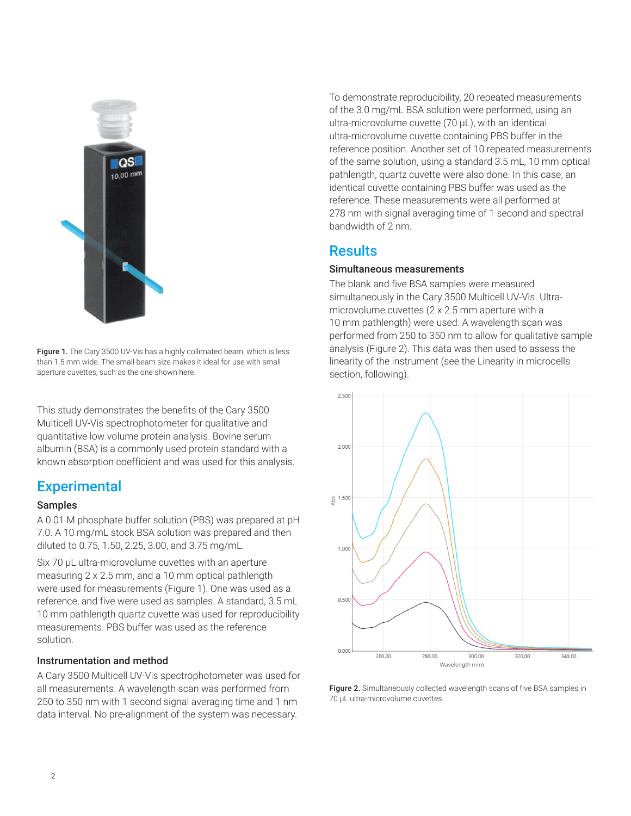

Figure 1. The Cary 3500 UV-Vis has a highly collimated beam, which is less than 1.5 mm wide. The small beam size makes it ideal for use with small aperture cuvettes, such as the one shown here.

This study demonstrates the benefits of the Cary 3500 Multicell UV-Vis spectrophotometer for qualitative and quantitative low volume protein analysis. Bovine serum albumin (BSA) is a commonly used protein standard with a known absorption coefficient and was used for this analysis.

# **Experimental**

#### Samples

A 0.01 M phosphate buffer solution (PBS) was prepared at pH 7.0. A 10 mg/mL stock BSA solution was prepared and then diluted to 0.75, 1.50, 2.25, 3.00, and 3.75 mg/mL.

Six 70  $\mu$ L ultra-microvolume cuvettes with an aperture measuring 2 x 2.5 mm, and a 10 mm optical pathlength were used for measurements (Figure 1). One was used as a reference, and five were used as samples. A standard, 3.5 mL 10 mm pathlength quartz cuvette was used for reproducibility measurements. PBS buffer was used as the reference solution.

#### Instrumentation and method

A Cary 3500 Multicell UV-Vis spectrophotometer was used for all measurements. A wavelength scan was performed from 250 to 350 nm with 1 second signal averaging time and 1 nm data interval. No pre-alignment of the system was necessary.

To demonstrate reproducibility, 20 repeated measurements of the 3.0 mg/mL BSA solution were performed, using an ultra-microvolume cuvette (70 µL), with an identical ultra-microvolume cuvette containing PBS buffer in the reference position. Another set of 10 repeated measurements of the same solution, using a standard 3.5 mL, 10 mm optical pathlength, quartz cuvette were also done. In this case, an identical cuvette containing PBS buffer was used as the reference. These measurements were all performed at 278 nm with signal averaging time of 1 second and spectral bandwidth of 2 nm.

# **Results**

#### Simultaneous measurements

The blank and five BSA samples were measured simultaneously in the Cary 3500 Multicell UV-Vis. Ultramicrovolume cuvettes (2 x 2.5 mm aperture with a 10 mm pathlength) were used. A wavelength scan was performed from 250 to 350 nm to allow for qualitative sample analysis (Figure 2). This data was then used to assess the linearity of the instrument (see the Linearity in microcells section, following).



Figure 2. Simultaneously collected wavelength scans of five BSA samples in 70 µL ultra-microvolume cuvettes.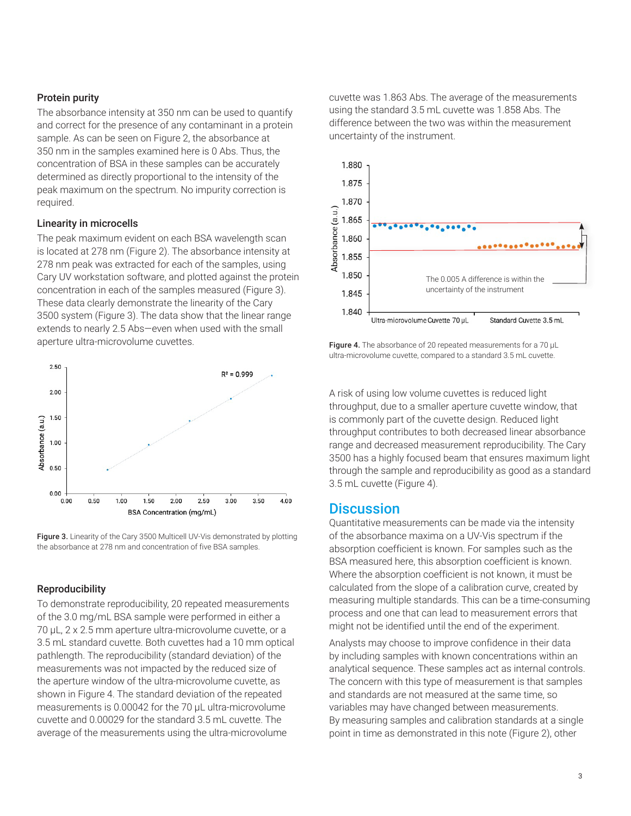#### Protein purity

The absorbance intensity at 350 nm can be used to quantify and correct for the presence of any contaminant in a protein sample. As can be seen on Figure 2, the absorbance at 350 nm in the samples examined here is 0 Abs. Thus, the concentration of BSA in these samples can be accurately determined as directly proportional to the intensity of the peak maximum on the spectrum. No impurity correction is required.

#### Linearity in microcells

The peak maximum evident on each BSA wavelength scan is located at 278 nm (Figure 2). The absorbance intensity at 278 nm peak was extracted for each of the samples, using Cary UV workstation software, and plotted against the protein concentration in each of the samples measured (Figure 3). These data clearly demonstrate the linearity of the Cary 3500 system (Figure 3). The data show that the linear range extends to nearly 2.5 Abs—even when used with the small aperture ultra-microvolume cuvettes.





#### Reproducibility

To demonstrate reproducibility, 20 repeated measurements of the 3.0 mg/mL BSA sample were performed in either a 70 µL, 2 x 2.5 mm aperture ultra-microvolume cuvette, or a 3.5 mL standard cuvette. Both cuvettes had a 10 mm optical pathlength. The reproducibility (standard deviation) of the measurements was not impacted by the reduced size of the aperture window of the ultra-microvolume cuvette, as shown in Figure 4. The standard deviation of the repeated measurements is 0.00042 for the 70 µL ultra-microvolume cuvette and 0.00029 for the standard 3.5 mL cuvette. The average of the measurements using the ultra-microvolume

cuvette was 1.863 Abs. The average of the measurements using the standard 3.5 mL cuvette was 1.858 Abs. The difference between the two was within the measurement uncertainty of the instrument.



Figure 4. The absorbance of 20 repeated measurements for a 70 µL ultra-microvolume cuvette, compared to a standard 3.5 mL cuvette.

A risk of using low volume cuvettes is reduced light throughput, due to a smaller aperture cuvette window, that is commonly part of the cuvette design. Reduced light throughput contributes to both decreased linear absorbance range and decreased measurement reproducibility. The Cary 3500 has a highly focused beam that ensures maximum light through the sample and reproducibility as good as a standard 3.5 mL cuvette (Figure 4).

### **Discussion**

Quantitative measurements can be made via the intensity of the absorbance maxima on a UV-Vis spectrum if the absorption coefficient is known. For samples such as the BSA measured here, this absorption coefficient is known. Where the absorption coefficient is not known, it must be calculated from the slope of a calibration curve, created by measuring multiple standards. This can be a time-consuming process and one that can lead to measurement errors that might not be identified until the end of the experiment.

Analysts may choose to improve confidence in their data by including samples with known concentrations within an analytical sequence. These samples act as internal controls. The concern with this type of measurement is that samples and standards are not measured at the same time, so variables may have changed between measurements. By measuring samples and calibration standards at a single point in time as demonstrated in this note (Figure 2), other